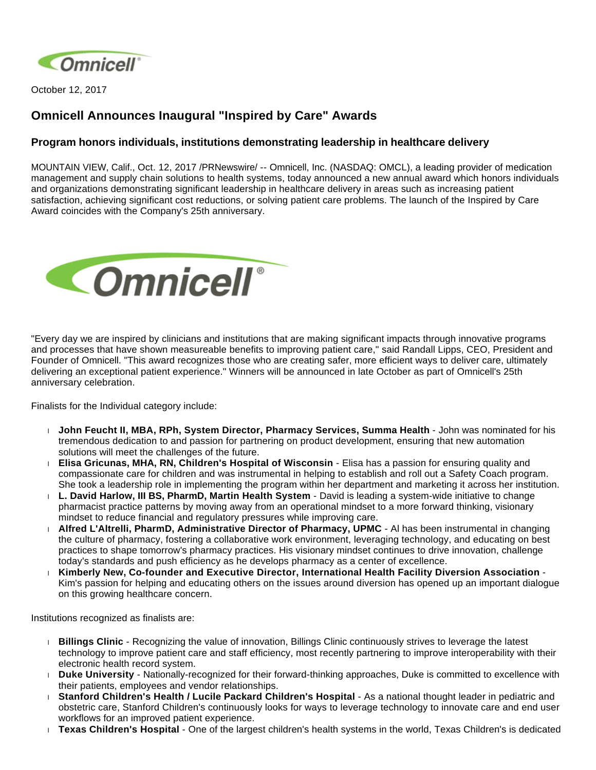

October 12, 2017

## **Omnicell Announces Inaugural "Inspired by Care" Awards**

## **Program honors individuals, institutions demonstrating leadership in healthcare delivery**

MOUNTAIN VIEW, Calif., Oct. 12, 2017 /PRNewswire/ -- Omnicell, Inc. (NASDAQ: OMCL), a leading provider of medication management and supply chain solutions to health systems, today announced a new annual award which honors individuals and organizations demonstrating significant leadership in healthcare delivery in areas such as increasing patient satisfaction, achieving significant cost reductions, or solving patient care problems. The launch of the Inspired by Care Award coincides with the Company's 25th anniversary.



"Every day we are inspired by clinicians and institutions that are making significant impacts through innovative programs and processes that have shown measureable benefits to improving patient care," said Randall Lipps, CEO, President and Founder of Omnicell. "This award recognizes those who are creating safer, more efficient ways to deliver care, ultimately delivering an exceptional patient experience." Winners will be announced in late October as part of Omnicell's 25th anniversary celebration.

Finalists for the Individual category include:

- **John Feucht II, MBA, RPh, System Director, Pharmacy Services, Summa Health** John was nominated for his tremendous dedication to and passion for partnering on product development, ensuring that new automation solutions will meet the challenges of the future.
- **Elisa Gricunas, MHA, RN, Children's Hospital of Wisconsin** Elisa has a passion for ensuring quality and compassionate care for children and was instrumental in helping to establish and roll out a Safety Coach program. She took a leadership role in implementing the program within her department and marketing it across her institution.
- **L. David Harlow, III BS, PharmD, Martin Health System** David is leading a system-wide initiative to change pharmacist practice patterns by moving away from an operational mindset to a more forward thinking, visionary mindset to reduce financial and regulatory pressures while improving care.
- **Alfred L'Altrelli, PharmD, Administrative Director of Pharmacy, UPMC** Al has been instrumental in changing the culture of pharmacy, fostering a collaborative work environment, leveraging technology, and educating on best practices to shape tomorrow's pharmacy practices. His visionary mindset continues to drive innovation, challenge today's standards and push efficiency as he develops pharmacy as a center of excellence.
- **Kimberly New, Co-founder and Executive Director, International Health Facility Diversion Association** Kim's passion for helping and educating others on the issues around diversion has opened up an important dialogue on this growing healthcare concern.

Institutions recognized as finalists are:

- **Billings Clinic** Recognizing the value of innovation, Billings Clinic continuously strives to leverage the latest technology to improve patient care and staff efficiency, most recently partnering to improve interoperability with their electronic health record system.
- **Duke University** Nationally-recognized for their forward-thinking approaches, Duke is committed to excellence with their patients, employees and vendor relationships.
- **Stanford Children's Health / Lucile Packard Children's Hospital** As a national thought leader in pediatric and obstetric care, Stanford Children's continuously looks for ways to leverage technology to innovate care and end user workflows for an improved patient experience.
- **Texas Children's Hospital** One of the largest children's health systems in the world, Texas Children's is dedicated